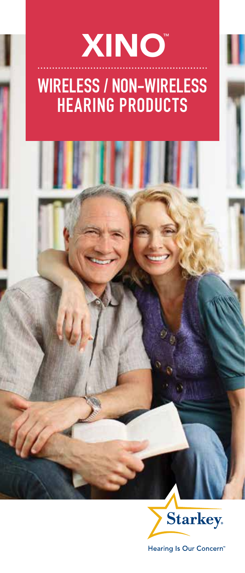### Wireless / Non-Wireless HEARING PRODUCTS XINO™



Hearing Is Our Concern"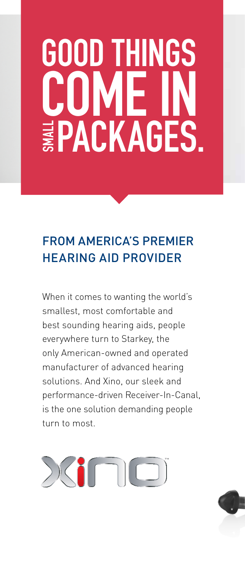## GOOD THINGS COME ທ **EPACKAGES.**

### From America's premier hearing aid provider

When it comes to wanting the world's smallest, most comfortable and best sounding hearing aids, people everywhere turn to Starkey, the only American-owned and operated manufacturer of advanced hearing solutions. And Xino, our sleek and performance-driven Receiver-In-Canal, is the one solution demanding people turn to most.



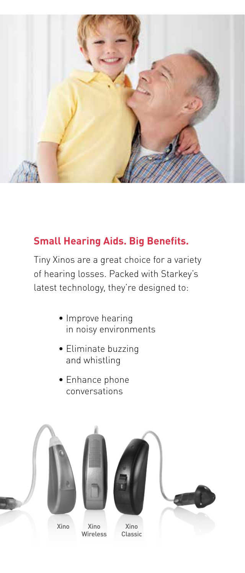

#### **Small Hearing Aids. Big Benefits.**

Tiny Xinos are a great choice for a variety of hearing losses. Packed with Starkey's latest technology, they're designed to:

- Improve hearing in noisy environments
- Eliminate buzzing and whistling
- Enhance phone conversations

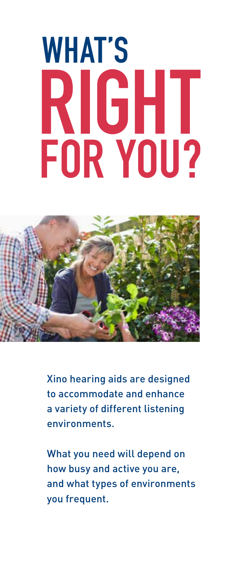# WHAT'S RIGHT FOR YOU?



Xino hearing aids are designed to accommodate and enhance a variety of different listening environments.

What you need will depend on how busy and active you are, and what types of environments you frequent.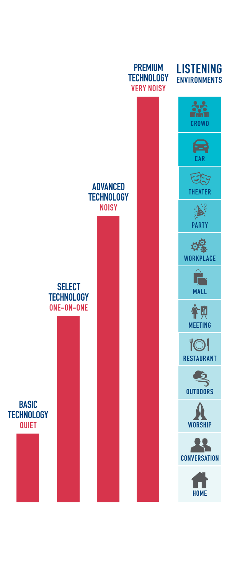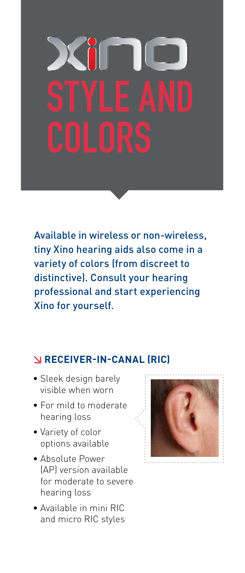Available in wireless or non-wireless, tiny Xino hearing aids also come in a variety of colors (from discreet to distinctive). Consult your hearing professional and start experiencing Xino for yourself.

#### **Receiver-In-Canal (RIC)**

- Sleek design barely visible when worn
- For mild to moderate hearing loss
- Variety of color options available
- Absolute Power (AP) version available for moderate to severe hearing loss
- Available in mini RIC and micro RIC styles

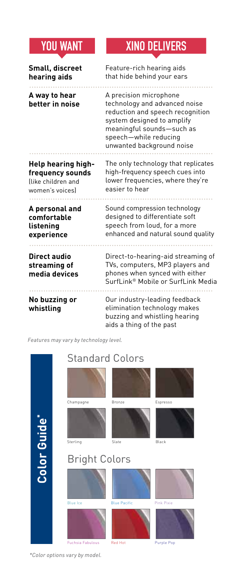### YOU WANT XINO DELIVERS

| Small, discreet                               | Feature-rich hearing aids                                                                                                                                                                                    |
|-----------------------------------------------|--------------------------------------------------------------------------------------------------------------------------------------------------------------------------------------------------------------|
| hearing aids                                  | that hide behind your ears                                                                                                                                                                                   |
| A way to hear<br>better in noise              | A precision microphone<br>technology and advanced noise<br>reduction and speech recognition<br>system designed to amplify<br>meaningful sounds-such as<br>speech-while reducing<br>unwanted background noise |
| <b>Help hearing high-</b>                     | The only technology that replicates                                                                                                                                                                          |
| frequency sounds                              | high-frequency speech cues into                                                                                                                                                                              |
| llike children and                            | lower frequencies, where they're                                                                                                                                                                             |
| women's voices)                               | easier to hear                                                                                                                                                                                               |
| A personal and                                | Sound compression technology                                                                                                                                                                                 |
| comfortable                                   | designed to differentiate soft                                                                                                                                                                               |
| listening                                     | speech from loud, for a more                                                                                                                                                                                 |
| experience                                    | enhanced and natural sound quality                                                                                                                                                                           |
| Direct audio<br>streaming of<br>media devices | Direct-to-hearing-aid streaming of<br>TVs, computers, MP3 players and<br>phones when synced with either<br>SurfLink® Mobile or SurfLink Media                                                                |
| No buzzing or<br>whistling                    | Our industry-leading feedback<br>elimination technology makes<br>buzzing and whistling hearing<br>aids a thing of the past                                                                                   |

*Features may vary by technology level.*



*\*Color options vary by model.*

Purple Pop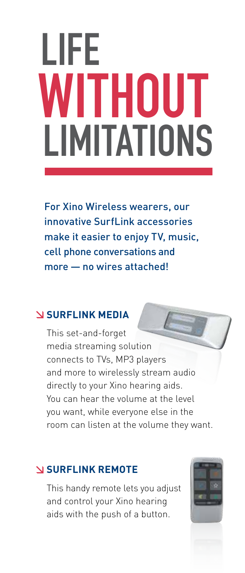## LIFE WITHOUT LIMITATIONS

For Xino Wireless wearers, our innovative SurfLink accessories make it easier to enjoy TV, music, cell phone conversations and more — no wires attached!

#### **SURFLINK MEDIA**

This set-and-forget media streaming solution connects to TVs, MP3 players and more to wirelessly stream audio directly to your Xino hearing aids. You can hear the volume at the level you want, while everyone else in the room can listen at the volume they want.

#### **SURFLINK Remote**

This handy remote lets you adjust and control your Xino hearing aids with the push of a button.

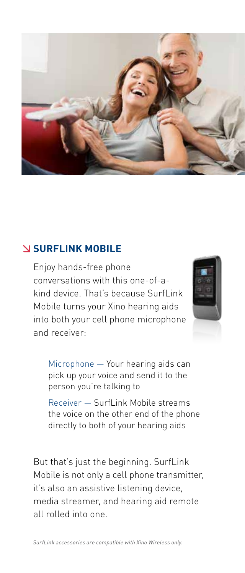

#### **SURFLINK Mobile**

Enjoy hands-free phone conversations with this one-of-akind device. That's because SurfLink Mobile turns your Xino hearing aids into both your cell phone microphone and receiver:



Microphone — Your hearing aids can pick up your voice and send it to the person you're talking to

Receiver — SurfLink Mobile streams the voice on the other end of the phone directly to both of your hearing aids

But that's just the beginning. SurfLink Mobile is not only a cell phone transmitter, it's also an assistive listening device, media streamer, and hearing aid remote all rolled into one.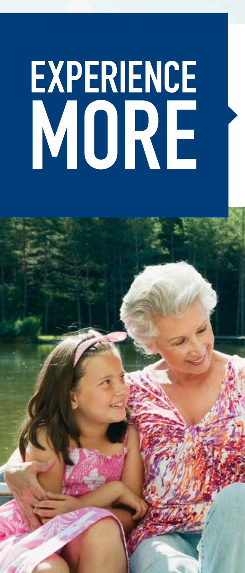# **EXPERIENCE** MO

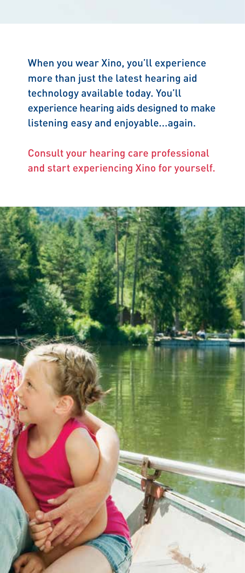When you wear Xino, you'll experience more than just the latest hearing aid technology available today. You'll experience hearing aids designed to make listening easy and enjoyable...again.

Consult your hearing care professional and start experiencing Xino for yourself.